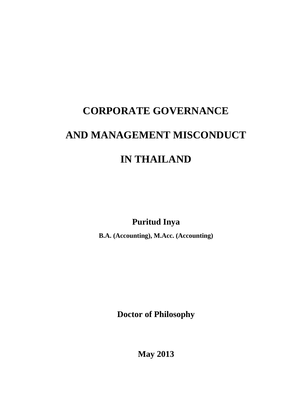# **CORPORATE GOVERNANCE AND MANAGEMENT MISCONDUCT IN THAILAND**

**Puritud Inya**

**B.A. (Accounting), M.Acc. (Accounting)**

**Doctor of Philosophy**

**May 2013**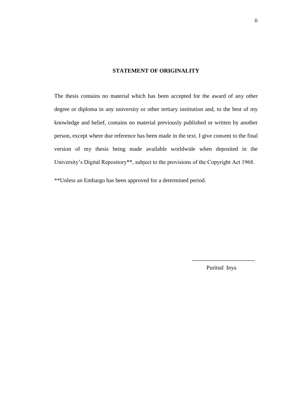### **STATEMENT OF ORIGINALITY**

<span id="page-1-0"></span>The thesis contains no material which has been accepted for the award of any other degree or diploma in any university or other tertiary institution and, to the best of my knowledge and belief, contains no material previously published or written by another person, except where due reference has been made in the text. I give consent to the final version of my thesis being made available worldwide when deposited in the University's Digital Repository\*\*, subject to the provisions of the Copyright Act 1968.

\*\*Unless an Embargo has been approved for a determined period.

Puritud Inya

---------------------------------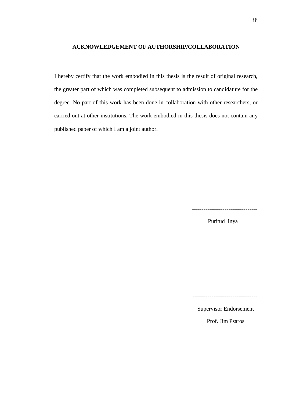## <span id="page-2-0"></span>**ACKNOWLEDGEMENT OF AUTHORSHIP/COLLABORATION**

I hereby certify that the work embodied in this thesis is the result of original research, the greater part of which was completed subsequent to admission to candidature for the degree. No part of this work has been done in collaboration with other researchers, or carried out at other institutions. The work embodied in this thesis does not contain any published paper of which I am a joint author.

----------------------------------

Puritud Inya

----------------------------------

Supervisor Endorsement

Prof. Jim Psaros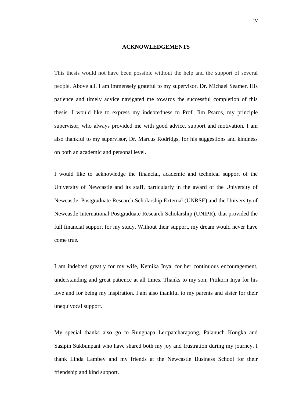#### **ACKNOWLEDGEMENTS**

<span id="page-3-0"></span>This thesis would not have been possible without the help and the support of several people. Above all, I am immensely grateful to my supervisor, Dr. Michael Seamer. His patience and timely advice navigated me towards the successful completion of this thesis. I would like to express my indebtedness to Prof. Jim Psaros, my principle supervisor, who always provided me with good advice, support and motivation. I am also thankful to my supervisor, Dr. Marcus Rodridgs, for his suggestions and kindness on both an academic and personal level.

I would like to acknowledge the financial, academic and technical support of the University of Newcastle and its staff, particularly in the award of the University of Newcastle, Postgraduate Research Scholarship External (UNRSE) and the University of Newcastle International Postgraduate Research Scholarship (UNIPR), that provided the full financial support for my study. Without their support, my dream would never have come true.

I am indebted greatly for my wife, Kemika Inya, for her continuous encouragement, understanding and great patience at all times. Thanks to my son, Pitikorn Inya for his love and for being my inspiration. I am also thankful to my parents and sister for their unequivocal support.

My special thanks also go to Rungnapa Lertpatcharapong, Palanuch Kongka and Sasipin Sukbunpant who have shared both my joy and frustration during my journey. I thank Linda Lambey and my friends at the Newcastle Business School for their friendship and kind support.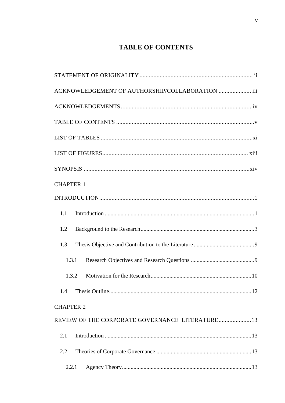# **TABLE OF CONTENTS**

| ACKNOWLEDGEMENT OF AUTHORSHIP/COLLABORATION  iii |
|--------------------------------------------------|
|                                                  |
|                                                  |
|                                                  |
|                                                  |
|                                                  |
| <b>CHAPTER 1</b>                                 |
|                                                  |
| 1.1                                              |
| 1.2                                              |
| 1.3                                              |
| 1.3.1                                            |
| 1.3.2                                            |
| 1.4                                              |
| <b>CHAPTER 2</b>                                 |
| REVIEW OF THE CORPORATE GOVERNANCE LITERATURE 13 |
| 2.1                                              |
| 2.2                                              |
| 2.2.1                                            |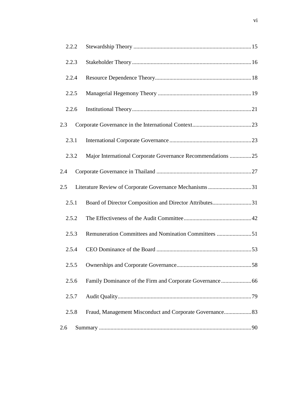|     | 2.2.2 |                                                             |  |
|-----|-------|-------------------------------------------------------------|--|
|     | 2.2.3 |                                                             |  |
|     | 2.2.4 |                                                             |  |
|     | 2.2.5 |                                                             |  |
|     | 2.2.6 |                                                             |  |
| 2.3 |       |                                                             |  |
|     | 2.3.1 |                                                             |  |
|     | 2.3.2 | Major International Corporate Governance Recommendations 25 |  |
| 2.4 |       |                                                             |  |
| 2.5 |       | Literature Review of Corporate Governance Mechanisms 31     |  |
|     | 2.5.1 | Board of Director Composition and Director Attributes31     |  |
|     | 2.5.2 |                                                             |  |
|     | 2.5.3 | Remuneration Committees and Nomination Committees 51        |  |
|     | 2.5.4 |                                                             |  |
|     | 2.5.5 |                                                             |  |
|     | 2.5.6 |                                                             |  |
|     | 2.5.7 |                                                             |  |
|     | 2.5.8 | Fraud, Management Misconduct and Corporate Governance 83    |  |
| 2.6 |       |                                                             |  |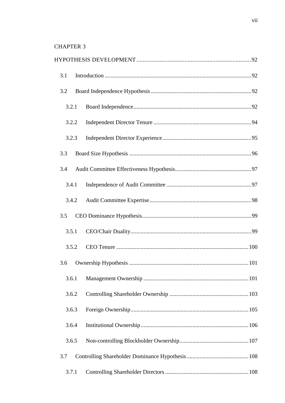| 3.1   |  |  |
|-------|--|--|
| 3.2   |  |  |
| 3.2.1 |  |  |
| 3.2.2 |  |  |
| 3.2.3 |  |  |
| 3.3   |  |  |
| 3.4   |  |  |
| 3.4.1 |  |  |
| 3.4.2 |  |  |
| 3.5   |  |  |
| 3.5.1 |  |  |
| 3.5.2 |  |  |
| 3.6   |  |  |
| 3.6.1 |  |  |
| 3.6.2 |  |  |
| 3.6.3 |  |  |
| 3.6.4 |  |  |
| 3.6.5 |  |  |
| 3.7   |  |  |
| 3.7.1 |  |  |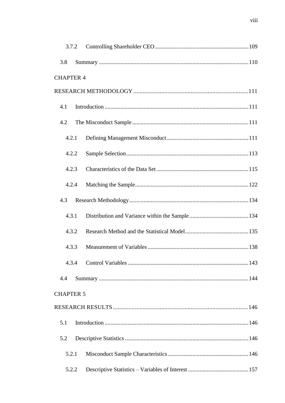|                  | 3.7.2 |  |
|------------------|-------|--|
| 3.8              |       |  |
| <b>CHAPTER 4</b> |       |  |
|                  |       |  |
| 4.1              |       |  |
| 4.2              |       |  |
| 4.2.1            |       |  |
|                  | 4.2.2 |  |
|                  | 4.2.3 |  |
|                  | 4.2.4 |  |
| 4.3              |       |  |
| 4.3.1            |       |  |
|                  | 4.3.2 |  |
|                  | 4.3.3 |  |
| 4.3.4            |       |  |
| 4.4              |       |  |
| <b>CHAPTER 5</b> |       |  |
|                  |       |  |
| 5.1              |       |  |
| 5.2              |       |  |
| 5.2.1            |       |  |
|                  | 5.2.2 |  |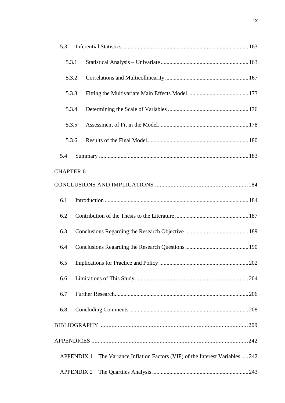| 5.3                                                                            |  |
|--------------------------------------------------------------------------------|--|
| 5.3.1                                                                          |  |
| 5.3.2                                                                          |  |
| 5.3.3                                                                          |  |
| 5.3.4                                                                          |  |
| 5.3.5                                                                          |  |
| 5.3.6                                                                          |  |
| 5.4                                                                            |  |
| <b>CHAPTER 6</b>                                                               |  |
|                                                                                |  |
| 6.1                                                                            |  |
| 6.2                                                                            |  |
| 6.3                                                                            |  |
| 6.4                                                                            |  |
| 6.5                                                                            |  |
| 6.6                                                                            |  |
| 6.7                                                                            |  |
| 6.8                                                                            |  |
|                                                                                |  |
|                                                                                |  |
| APPENDIX 1 The Variance Inflation Factors (VIF) of the Interest Variables  242 |  |
| <b>APPENDIX 2</b>                                                              |  |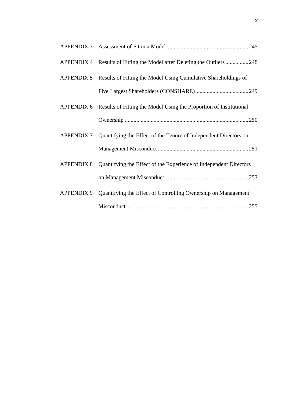<span id="page-9-0"></span>

| <b>APPENDIX 4</b> | Results of Fitting the Model after Deleting the Outliers248        |
|-------------------|--------------------------------------------------------------------|
| <b>APPENDIX 5</b> | Results of Fitting the Model Using Cumulative Shareholdings of     |
|                   |                                                                    |
| <b>APPENDIX 6</b> | Results of Fitting the Model Using the Proportion of Institutional |
|                   |                                                                    |
| <b>APPENDIX 7</b> | Quantifying the Effect of the Tenure of Independent Directors on   |
|                   |                                                                    |
| <b>APPENDIX 8</b> | Quantifying the Effect of the Experience of Independent Directors  |
|                   |                                                                    |
| <b>APPENDIX 9</b> | Quantifying the Effect of Controlling Ownership on Management      |
|                   | .255                                                               |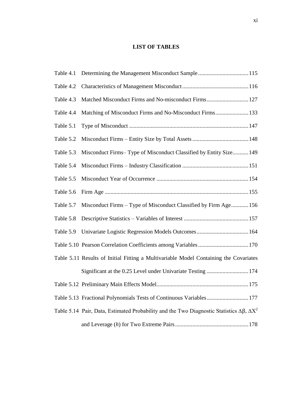## **LIST OF TABLES**

| Table 4.2 |                                                                                                              |
|-----------|--------------------------------------------------------------------------------------------------------------|
| Table 4.3 | Matched Misconduct Firms and No-misconduct Firms 127                                                         |
| Table 4.4 | Matching of Misconduct Firms and No-Misconduct Firms 133                                                     |
| Table 5.1 |                                                                                                              |
| Table 5.2 |                                                                                                              |
| Table 5.3 | Misconduct Firms–Type of Misconduct Classified by Entity Size149                                             |
| Table 5.4 |                                                                                                              |
| Table 5.5 |                                                                                                              |
| Table 5.6 |                                                                                                              |
| Table 5.7 | Misconduct Firms – Type of Misconduct Classified by Firm Age156                                              |
| Table 5.8 |                                                                                                              |
| Table 5.9 |                                                                                                              |
|           | Table 5.10 Pearson Correlation Coefficients among Variables  170                                             |
|           | Table 5.11 Results of Initial Fitting a Multivariable Model Containing the Covariates                        |
|           | Significant at the 0.25 Level under Univariate Testing  174                                                  |
|           | 175                                                                                                          |
|           | Table 5.13 Fractional Polynomials Tests of Continuous Variables 177                                          |
|           | Table 5.14 Pair, Data, Estimated Probability and the Two Diagnostic Statistics $\Delta \beta$ , $\Delta X^2$ |
|           |                                                                                                              |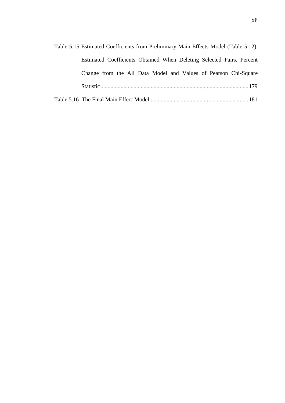| Table 5.15 Estimated Coefficients from Preliminary Main Effects Model (Table 5.12), |
|-------------------------------------------------------------------------------------|
| Estimated Coefficients Obtained When Deleting Selected Pairs, Percent               |
| Change from the All Data Model and Values of Pearson Chi-Square                     |
|                                                                                     |
|                                                                                     |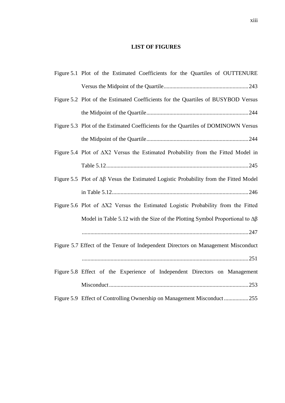# **LIST OF FIGURES**

<span id="page-12-0"></span>

| Figure 5.1 Plot of the Estimated Coefficients for the Quartiles of OUTTENURE                    |
|-------------------------------------------------------------------------------------------------|
|                                                                                                 |
| Figure 5.2 Plot of the Estimated Coefficients for the Quartiles of BUSYBOD Versus               |
|                                                                                                 |
| Figure 5.3 Plot of the Estimated Coefficients for the Quartiles of DOMINOWN Versus              |
|                                                                                                 |
| Figure 5.4 Plot of $\Delta X2$ Versus the Estimated Probability from the Fitted Model in        |
|                                                                                                 |
| Figure 5.5 Plot of $\Delta\beta$ Vesus the Estimated Logistic Probability from the Fitted Model |
|                                                                                                 |
| Figure 5.6 Plot of $\Delta X2$ Versus the Estimated Logistic Probability from the Fitted        |
| Model in Table 5.12 with the Size of the Plotting Symbol Proportional to $\Delta\beta$          |
|                                                                                                 |
| Figure 5.7 Effect of the Tenure of Independent Directors on Management Misconduct               |
|                                                                                                 |
| Figure 5.8 Effect of the Experience of Independent Directors on Management                      |
|                                                                                                 |
| Figure 5.9 Effect of Controlling Ownership on Management Misconduct255                          |